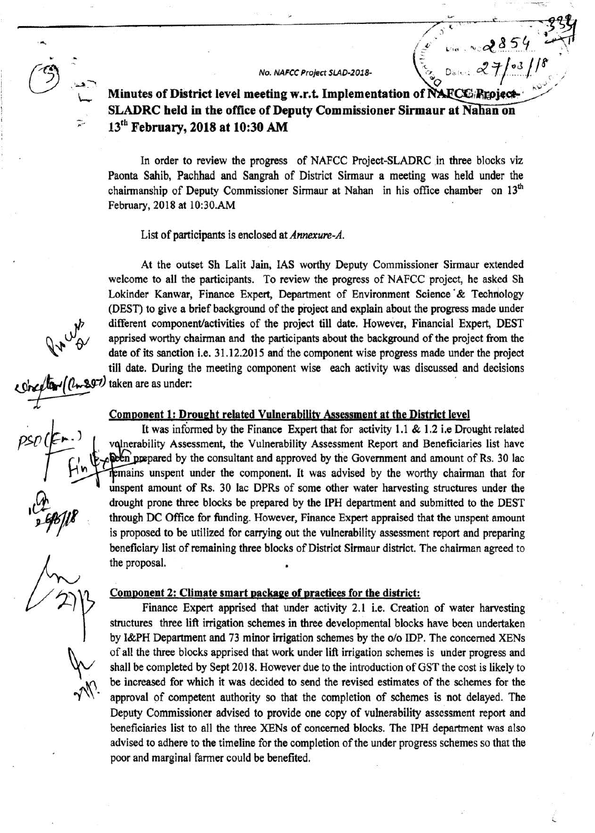No. NAFCC Project SLAD-2018-

 $\sim$  285

 $\sum_{i=1}^n$ 

~~~~~~~~~~~-~~-~~~~~~-~:~.~···. ~---. -'i ~~ /.) ·

**0** Dato: **x** // 1, 1, 005 Minutes of District level meeting w.r.t. Implementation of NAFCC; Repject. **SLADRC held in the office of Deputy Commissioner Sirmaur at Nahan on** 13th **February, 2018at10:30 AM** 

In order to review the progress of NAFCC Project-SLADRC in three blocks viz Paonta Sahib, Pachhad and Sangrah of District Sirmaur a meeting was held under the chairmanship of Deputy Commissioner Sirmaur at Nahan in his office chamber on 13<sup>th</sup> February, 2018 at 10:30.AM

List of participants is enclosed at *Annexure-A.* 

At the outset Sh Lalit Jain, IAS worthy Deputy Commissioner Sirmaur extended welcome to all the participants. To review the progress of NAFCC project, he asked Sh Lokinder Kanwar, Finance Expert, Department of Environment Science & Technology (DEST) to give a brief background of the project and explain about the progress made under different component/activities of the project till date. However, Financial Expert, DEST apprised worthy chairman and the participants about the background of the project from the date of its sanction i.e. 31.12.2015 and the component wise progress made under the project till date. During the meeting component wise each activity was discussed and decisions  $\sqrt[n]{v}$  apprised worthy ch<br>date of its sanction<br>till date. During the<br> $\sqrt[n]{(l_{w} 897)}$  taken are as under:

## **Component 1: Drought related Vulnerability Assessment at the District level**

It was informed by the Finance Expert that for activity 1.1 & 1.2 i.e Drought related volnerability Assessment, the Vulnerability Assessment Report and Beneficiaries list have the prepared by the consultant and approved by the Government and amount of Rs. 30 lac mains unspent under the component. It was advised by the worthy chairman that for unspent amount of Rs. 30 lac DPRs of some other water harvesting structures under the drought prone three blocks be prepared by the IPH department and submitted to the DEST through DC Office for funding. However, Finance Expert appraised that the unspent amount is proposed to be utilized for carrying out the vulnerability assessment report and preparing beneficiary list of remaining three blocks of District Sirmaur district. The chairman agreed to the proposal.

## **Comoonent 2: Climate smart package of practices for the district:**

Finance Expert apprised that under activity 2.1 i.e. Creation of water harvesting structures three lift irrigation schemes in three developmental blocks have been undertaken by l&PH Department and 73 minor irrigation schemes by the o/o IDP. The concerned XENs of all the three blocks apprised that work under lift irrigation schemes is under progress and shall be completed by Sept 2018. However due to the introduction of GST the cost is likely to be increased for which it was decided to send the revised estimates of the schemes for the approval of competent authority so that the completion of schemes is not delayed. The Deputy Commissioner advised to provide one copy of vulnerability assessment report and beneficiaries list to all the three XENs of concerned blocks. The IPH department was also advised to adhere to the timeline for the completion of the under progress schemes so that the poor and marginal farmer could be benefited.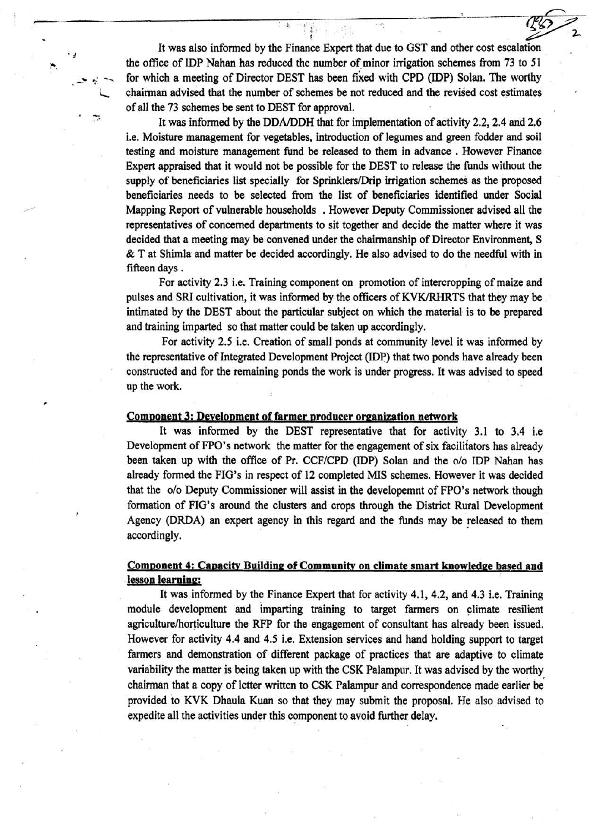It was also infonned by the Finance Expert that due to OST and other cost escalation the office of IDP Nahan has reduced the number of minor irrigation schemes from 73 to 51 for which a meeting of Director DEST has been fixed· with CPD (IDP) Solan. The worthy chairman advised that the number of schemes be not reduced and the revised cost estimates of all the 73 schemes be sent to DEST for approval.

• *!* 

,

 $\div$ 

It was infonned by the DDA/DDH that for implementation of activity 2.2, 2.4 and 2.6 i.e. Moisture management for vegetables, introduction of legumes and green fodder and soil testing and moisture management fund be released to them in advance . However Finance Expert appraised that it would not be possible for the DEST to release the funds without the supply of beneficiaries list specially for Sprinklers/Drip irrigation schemes as the proposed beneficiaries needs to be selected from the list of beneficiaries identified under Social Mapping Report of vulnerable households . However Deputy Commissioner advised all the representatives of concerned departments to sit together and decide the matter where it was decided that a meeting may be convened under the chairmanship of Director Environment, S  $\&$  T at Shimla and matter be decided accordingly. He also advised to do the needful with in fifteen days .

For activity 2.3 i.e. Training component on promotion of intercropping of maize and pulses and SRI cultivation, it was informed by the officers of KVK/RHRTS that they may be intimated by the DEST about the particular subject on which the material is to be prepared and training imparted so that matter could be taken up accordingly.

For activity 2.5 i.e. Creation of small ponds at community level it was informed by the representative of Integrated Development Project (IDP) that two ponds have already been constructed and for the remaining ponds the work is under progress. It was advised to speed up the work.

#### Component 3: Deyelopment of farmer producer organization network

It was informed by the DEST representative that for activity 3.1 to 3.4 i.e Development of FPO's network the matter for the engagement of six facilitators has already been taken up with the office of Pr. CCF/CPD (IDP) Solan and the o/o IDP Nahan has already formed the FIG's in respect of 12 completed MIS schemes. However it was decided that the o/o Deputy Commissioner will assist in the developemnt of FPO's network though formation of FIG's around the clusters and crops through the District Rural Development Agency (DRDA) an expert agency in this regard and the funds may be released to them accordingly.

## Component 4: Capacity Building of Community on climate smart knowledge based and lesson learning:

It was informed by the Finance Expert that for activity 4.1, 4.2, and 4.3 i.e. Training module development and imparting training to target farmers on climate resilient agriculture/horticulture the RFP for the engagement of consultant has already been issued. However for activity 4.4 and 4.5 i.e. Extension services and hand holding support to target farmers and demonstration of different package of practices that are adaptive to climate variability the matter is being taken up with the CSK Palampur. It was advised by the worthy chairman that a copy of letter written to CSK Palampur and correspondence made earlier be provided to KVK Dhaula Kuan so that they may submit the proposal. He also advised to expedite all the activities under this component to avoid further delay.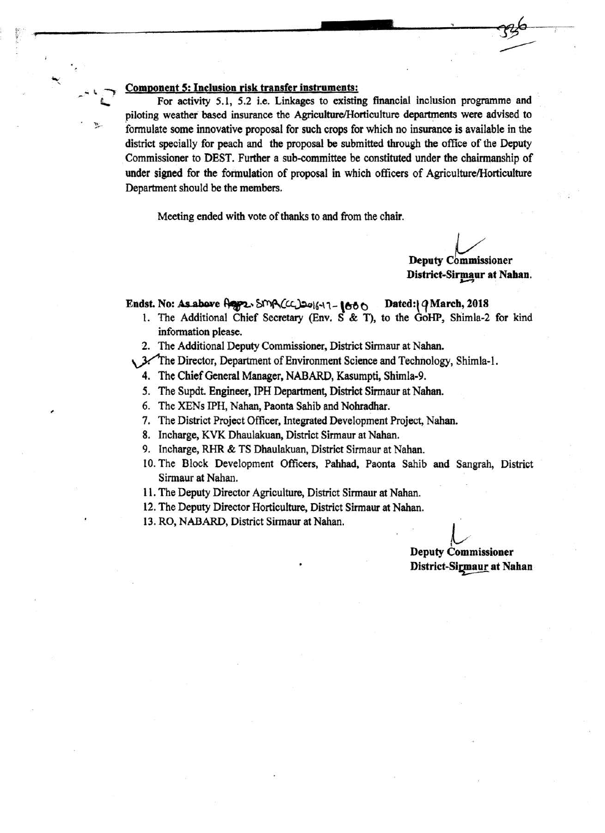## Comoonent 5: Inclusion risk transfer instruments:

 $\overline{\phantom{a}}$  $\tilde{\phantom{a}}$ 

,

"' .. ,. ....

For activity 5.1, 5.2 i.e. Linkages to existing financial inclusion programme and piloting weather based insurance the Agriculture/Horticulture departments were advised to formulate some innovative proposal for such crops for which no insurance is available in the district specially for peach and the proposal be submitted through the office of the Deputy . Commissioner to DEST. Further a sub-committee be constituted under the chairmanship of under signed for the formulation of proposal in which officers of Agriculture/Horticulture Department should be the members.

Meeting ended with vote of thanks to and from the chair.

'·-¥ \_\_\_\_\_\_\_\_\_\_\_\_\_\_\_ \_\_;:...\_\_\_,. ~~~-!

Deputy Commissioner District-Sirmaur at Nahan.

 $\overline{\phantom{a}}$ 

## Endst. No: As above  $\bigcap_{\alpha\in\mathcal{C}}\mathcal{L}$ .  $\text{SMA}(C_{\alpha})$   $\omega_{\alpha\beta}$  +1-  $\{660\}$  Dated: $\{Q\}$ March, 2018

- 1. The Additional Chief Secretary (Env.  $S \& T$ ), to the GoHP, Shimla-2 for kind information please.
- 2. The Additional Deputy Commissioner, District Sirmaur at Nahan.
- . 3. The Director, Department of Environment Science and Technology, Shimla-1.
	- 4. The Chief General Manager, NABARD, Kasumpti, Shimla-9.
	- *5.* The Supdt. Engineer, IPH Department, District Sirmaur at Nahan.
	- 6. The XENs IPH, Nahan, Paonta Sahib and Nohradhar.
	- 7. The District Project Officer, Integrated Development Project, Nahan.
	- 8. Incharge, KVK Dhaulakuan, District Sirmaur at Nahan.
	- 9. Incharge, RHR & TS Dhaulakuan, District Sirmaur at Nahan.
	- 10. The Block Development Officers, Pahhad, Paonta Sahib and Sangrah, District Sirmaur at Nahan.
	- 11. The Deputy Director Agriculture, District Sirmaur at Nahan.
	- 12. The Deputy Director Horticulture, District Sirmaur at Nahan.

13. RO, NABARD, District Sirmaur at Nahan.

Deputy Commissioner District-Sigmaur at Nahan